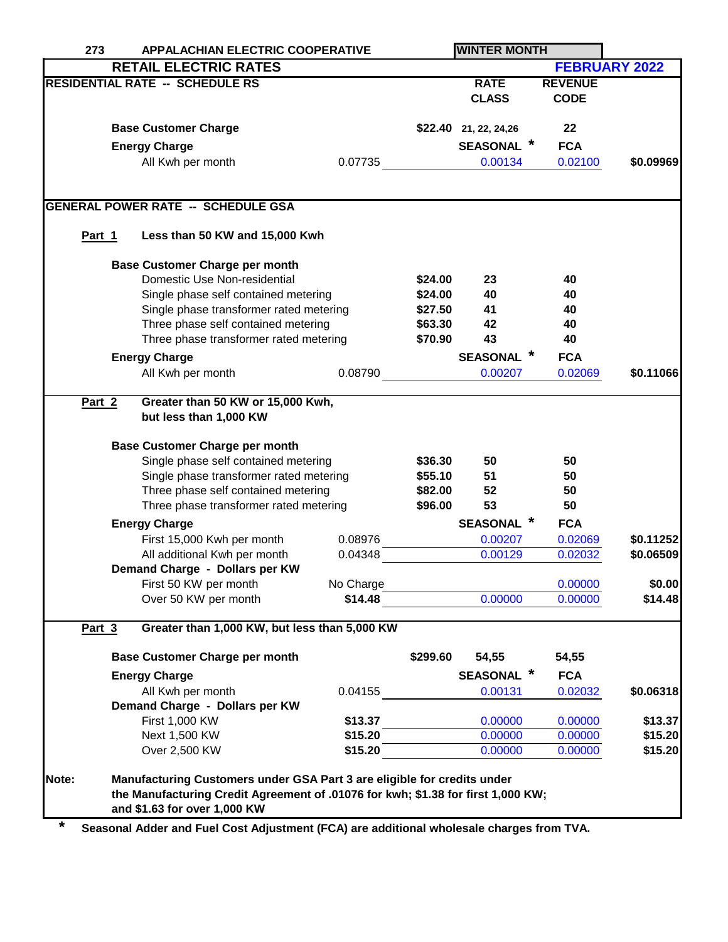| 273    |                                                                                | <b>APPALACHIAN ELECTRIC COOPERATIVE</b>                                          |           |          |                           |                |                      |  |
|--------|--------------------------------------------------------------------------------|----------------------------------------------------------------------------------|-----------|----------|---------------------------|----------------|----------------------|--|
|        |                                                                                | <b>RETAIL ELECTRIC RATES</b>                                                     |           |          |                           |                | <b>FEBRUARY 2022</b> |  |
|        |                                                                                | <b>RESIDENTIAL RATE -- SCHEDULE RS</b>                                           |           |          | <b>RATE</b>               | <b>REVENUE</b> |                      |  |
|        |                                                                                |                                                                                  |           |          | <b>CLASS</b>              | <b>CODE</b>    |                      |  |
|        |                                                                                |                                                                                  |           |          |                           |                |                      |  |
|        |                                                                                | <b>Base Customer Charge</b>                                                      |           |          | \$22.40 21, 22, 24, 26    | 22             |                      |  |
|        |                                                                                | <b>Energy Charge</b>                                                             |           |          | <b>SEASONAL</b> *         | <b>FCA</b>     |                      |  |
|        |                                                                                | All Kwh per month                                                                | 0.07735   |          | 0.00134                   | 0.02100        | \$0.09969            |  |
|        |                                                                                |                                                                                  |           |          |                           |                |                      |  |
|        |                                                                                |                                                                                  |           |          |                           |                |                      |  |
|        |                                                                                | <b>GENERAL POWER RATE -- SCHEDULE GSA</b>                                        |           |          |                           |                |                      |  |
| Part 1 |                                                                                | Less than 50 KW and 15,000 Kwh                                                   |           |          |                           |                |                      |  |
|        |                                                                                |                                                                                  |           |          |                           |                |                      |  |
|        |                                                                                | <b>Base Customer Charge per month</b>                                            |           |          |                           |                |                      |  |
|        |                                                                                | Domestic Use Non-residential                                                     |           | \$24.00  | 23                        | 40             |                      |  |
|        |                                                                                | Single phase self contained metering                                             |           | \$24.00  | 40                        | 40             |                      |  |
|        |                                                                                | Single phase transformer rated metering                                          |           | \$27.50  | 41                        | 40             |                      |  |
|        |                                                                                | Three phase self contained metering                                              |           | \$63.30  | 42                        | 40             |                      |  |
|        |                                                                                | Three phase transformer rated metering                                           |           | \$70.90  | 43                        | 40             |                      |  |
|        |                                                                                | <b>Energy Charge</b>                                                             |           |          | <b>SEASONAL</b>           | <b>FCA</b>     |                      |  |
|        |                                                                                | All Kwh per month                                                                | 0.08790   |          | 0.00207                   | 0.02069        | \$0.11066            |  |
|        |                                                                                |                                                                                  |           |          |                           |                |                      |  |
| Part 2 | Greater than 50 KW or 15,000 Kwh,                                              |                                                                                  |           |          |                           |                |                      |  |
|        |                                                                                | but less than 1,000 KW                                                           |           |          |                           |                |                      |  |
|        |                                                                                | <b>Base Customer Charge per month</b>                                            |           |          |                           |                |                      |  |
|        | Single phase self contained metering                                           |                                                                                  |           | \$36.30  | 50                        | 50             |                      |  |
|        | Single phase transformer rated metering<br>Three phase self contained metering |                                                                                  |           | \$55.10  | 51                        | 50             |                      |  |
|        |                                                                                |                                                                                  |           | \$82.00  | 52                        | 50             |                      |  |
|        |                                                                                | Three phase transformer rated metering                                           |           | \$96.00  | 53                        | 50             |                      |  |
|        |                                                                                | <b>Energy Charge</b>                                                             |           |          | $\ast$<br><b>SEASONAL</b> | <b>FCA</b>     |                      |  |
|        |                                                                                | First 15,000 Kwh per month                                                       | 0.08976   |          | 0.00207                   | 0.02069        | \$0.11252            |  |
|        |                                                                                | All additional Kwh per month                                                     | 0.04348   |          | 0.00129                   | 0.02032        | \$0.06509            |  |
|        |                                                                                | Demand Charge - Dollars per KW                                                   |           |          |                           |                |                      |  |
|        |                                                                                | First 50 KW per month                                                            | No Charge |          |                           | 0.00000        | \$0.00               |  |
|        |                                                                                | Over 50 KW per month                                                             | \$14.48   |          | 0.00000                   | 0.00000        | \$14.48              |  |
|        |                                                                                |                                                                                  |           |          |                           |                |                      |  |
| Part 3 |                                                                                | Greater than 1,000 KW, but less than 5,000 KW                                    |           |          |                           |                |                      |  |
|        |                                                                                | <b>Base Customer Charge per month</b>                                            |           | \$299.60 | 54,55                     | 54,55          |                      |  |
|        |                                                                                | <b>Energy Charge</b>                                                             |           |          | <b>SEASONAL</b>           | <b>FCA</b>     |                      |  |
|        |                                                                                | All Kwh per month                                                                | 0.04155   |          | 0.00131                   | 0.02032        | \$0.06318            |  |
|        |                                                                                | Demand Charge - Dollars per KW                                                   |           |          |                           |                |                      |  |
|        |                                                                                | First 1,000 KW                                                                   | \$13.37   |          | 0.00000                   | 0.00000        | \$13.37              |  |
|        |                                                                                | Next 1,500 KW                                                                    | \$15.20   |          | 0.00000                   | 0.00000        | \$15.20              |  |
|        |                                                                                | Over 2,500 KW                                                                    | \$15.20   |          | 0.00000                   | 0.00000        | \$15.20              |  |
|        |                                                                                |                                                                                  |           |          |                           |                |                      |  |
| Note:  |                                                                                | Manufacturing Customers under GSA Part 3 are eligible for credits under          |           |          |                           |                |                      |  |
|        |                                                                                | the Manufacturing Credit Agreement of .01076 for kwh; \$1.38 for first 1,000 KW; |           |          |                           |                |                      |  |
|        |                                                                                | and \$1.63 for over 1,000 KW                                                     |           |          |                           |                |                      |  |

**\* Seasonal Adder and Fuel Cost Adjustment (FCA) are additional wholesale charges from TVA.**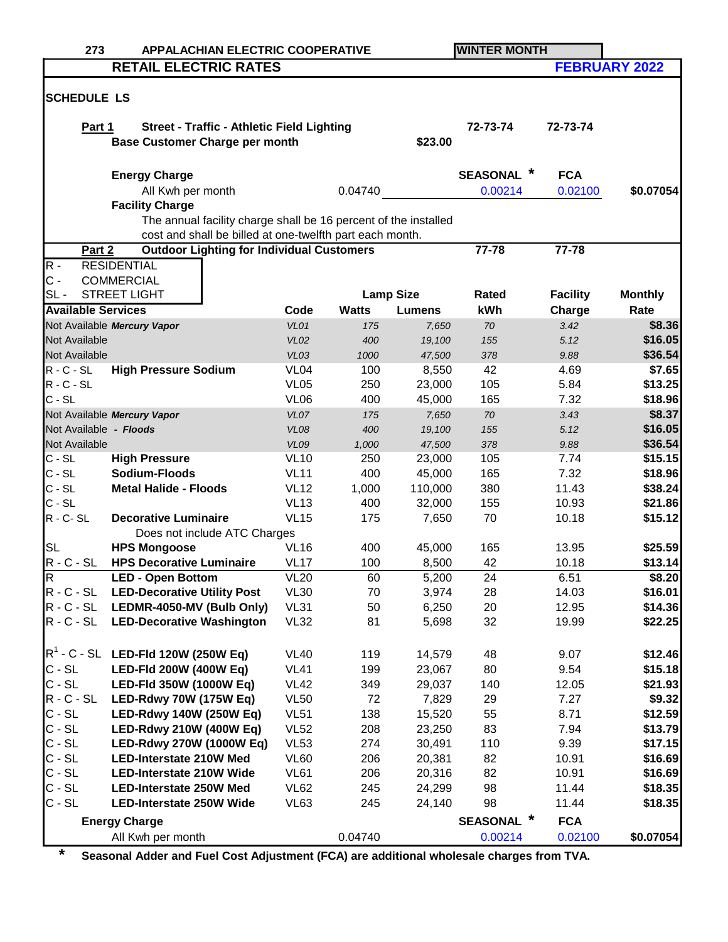| 273                                                             | <b>APPALACHIAN ELECTRIC COOPERATIVE</b>                         |                  |              | <b>WINTER MONTH</b> |                 |                 |                      |  |
|-----------------------------------------------------------------|-----------------------------------------------------------------|------------------|--------------|---------------------|-----------------|-----------------|----------------------|--|
|                                                                 | <b>RETAIL ELECTRIC RATES</b>                                    |                  |              |                     |                 |                 | <b>FEBRUARY 2022</b> |  |
|                                                                 |                                                                 |                  |              |                     |                 |                 |                      |  |
| <b>SCHEDULE LS</b>                                              |                                                                 |                  |              |                     |                 |                 |                      |  |
|                                                                 |                                                                 |                  |              |                     |                 |                 |                      |  |
| Part 1                                                          | <b>Street - Traffic - Athletic Field Lighting</b>               |                  |              |                     | 72-73-74        | 72-73-74        |                      |  |
|                                                                 | <b>Base Customer Charge per month</b>                           |                  |              | \$23.00             |                 |                 |                      |  |
|                                                                 |                                                                 |                  |              |                     |                 |                 |                      |  |
|                                                                 | <b>Energy Charge</b>                                            |                  |              |                     | <b>SEASONAL</b> | <b>FCA</b>      |                      |  |
|                                                                 | All Kwh per month                                               |                  | 0.04740      |                     | 0.00214         | 0.02100         | \$0.07054            |  |
|                                                                 | <b>Facility Charge</b>                                          |                  |              |                     |                 |                 |                      |  |
|                                                                 | The annual facility charge shall be 16 percent of the installed |                  |              |                     |                 |                 |                      |  |
|                                                                 | cost and shall be billed at one-twelfth part each month.        |                  |              |                     |                 |                 |                      |  |
| Part 2                                                          | <b>Outdoor Lighting for Individual Customers</b>                |                  |              |                     | 77-78           | 77-78           |                      |  |
| $R -$                                                           | <b>RESIDENTIAL</b>                                              |                  |              |                     |                 |                 |                      |  |
| $C -$                                                           | <b>COMMERCIAL</b>                                               |                  |              |                     |                 |                 |                      |  |
| $SL -$                                                          | <b>STREET LIGHT</b>                                             |                  |              | <b>Lamp Size</b>    | Rated           | <b>Facility</b> | <b>Monthly</b>       |  |
| <b>Available Services</b>                                       |                                                                 | Code             | <b>Watts</b> | <b>Lumens</b>       | kWh             | Charge          | Rate                 |  |
|                                                                 | Not Available Mercury Vapor                                     | VL01             | 175          | 7,650               | 70              | 3.42            | \$8.36               |  |
| Not Available                                                   |                                                                 | <b>VL02</b>      | 400          | 19,100              | 155             | 5.12            | \$16.05              |  |
| Not Available                                                   |                                                                 | VL03             | 1000         | 47,500              | 378             | 9.88            | \$36.54              |  |
| $R - C - SL$                                                    | <b>High Pressure Sodium</b>                                     | VL <sub>04</sub> | 100          | 8,550               | 42              | 4.69            | \$7.65               |  |
| $R - C - SL$                                                    |                                                                 | <b>VL05</b>      | 250          | 23,000              | 105             | 5.84            | \$13.25              |  |
| $C - SL$                                                        |                                                                 | <b>VL06</b>      | 400          | 45,000              | 165             | 7.32            | \$18.96              |  |
|                                                                 | Not Available Mercury Vapor                                     | VL07             | 175          | 7,650               | 70              | 3.43            | \$8.37               |  |
| Not Available - Floods                                          |                                                                 | <b>VL08</b>      | 400          | 19,100              | 155             | 5.12            | \$16.05              |  |
| Not Available                                                   |                                                                 | <b>VL09</b>      | 1,000        | 47,500              | 378             | 9.88            | \$36.54              |  |
| $C - SL$                                                        | <b>High Pressure</b>                                            | <b>VL10</b>      | 250          | 23,000              | 105             | 7.74            | \$15.15              |  |
| $C - SL$                                                        | Sodium-Floods                                                   | <b>VL11</b>      | 400          | 45,000              | 165             | 7.32            | \$18.96              |  |
| $C - SL$                                                        | <b>Metal Halide - Floods</b>                                    | <b>VL12</b>      | 1,000        | 110,000             | 380             | 11.43           | \$38.24              |  |
| $C - SL$                                                        |                                                                 | <b>VL13</b>      | 400          | 32,000              | 155             | 10.93           | \$21.86              |  |
| $R - C - SL$                                                    | <b>Decorative Luminaire</b>                                     | <b>VL15</b>      | 175          | 7,650               | 70              | 10.18           | \$15.12              |  |
|                                                                 | Does not include ATC Charges                                    |                  |              |                     |                 |                 |                      |  |
| <b>SL</b>                                                       | <b>HPS Mongoose</b>                                             | <b>VL16</b>      | 400          | 45,000              | 165             | 13.95           | \$25.59              |  |
| $R - C - SL$                                                    | <b>HPS Decorative Luminaire</b>                                 | <b>VL17</b>      | 100          | 8,500               | 42              | 10.18           | \$13.14              |  |
| R                                                               | <b>LED - Open Bottom</b>                                        | VL20             | 60           | 5,200               | 24              | 6.51            | <b>\$8.20</b>        |  |
| $R - C - SL$                                                    | <b>LED-Decorative Utility Post</b>                              | <b>VL30</b>      | 70           | 3,974               | 28              | 14.03           | \$16.01              |  |
| $R - C - SL$                                                    | LEDMR-4050-MV (Bulb Only)                                       | <b>VL31</b>      | 50           | 6,250               | 20              | 12.95           | \$14.36              |  |
| $R - C - SL$                                                    | <b>LED-Decorative Washington</b>                                | <b>VL32</b>      | 81           | 5,698               | 32              | 19.99           | \$22.25              |  |
|                                                                 |                                                                 |                  |              |                     |                 |                 |                      |  |
|                                                                 | $R^1$ - C - SL LED-FId 120W (250W Eq)                           | <b>VL40</b>      | 119          | 14,579              | 48              | 9.07            | \$12.46              |  |
| $C - SL$                                                        | LED-Fld 200W (400W Eq)                                          | <b>VL41</b>      | 199          | 23,067              | 80              | 9.54            | \$15.18              |  |
| $C - SL$                                                        | LED-Fld 350W (1000W Eq)                                         | <b>VL42</b>      | 349          | 29,037              | 140             | 12.05           | \$21.93              |  |
| $R - C - SL$                                                    | LED-Rdwy 70W (175W Eq)                                          | <b>VL50</b>      | 72           | 7,829               | 29              | 7.27            | \$9.32               |  |
| $C - SL$                                                        | LED-Rdwy 140W (250W Eq)                                         | <b>VL51</b>      | 138          | 15,520              | 55              | 8.71            | \$12.59              |  |
| $C - SL$                                                        | <b>LED-Rdwy 210W (400W Eq)</b>                                  | <b>VL52</b>      | 208          | 23,250              | 83              | 7.94            | \$13.79              |  |
| $C - SL$                                                        | LED-Rdwy 270W (1000W Eq)                                        | <b>VL53</b>      | 274          | 30,491              | 110             | 9.39            | \$17.15              |  |
| $C - SL$                                                        | <b>LED-Interstate 210W Med</b>                                  | <b>VL60</b>      | 206          | 20,381              | 82              | 10.91           | \$16.69              |  |
| $C - SL$                                                        | <b>LED-Interstate 210W Wide</b>                                 | <b>VL61</b>      | 206          | 20,316              | 82              | 10.91           | \$16.69              |  |
| $C - SL$                                                        | <b>LED-Interstate 250W Med</b>                                  | <b>VL62</b>      | 245          | 24,299              | 98              | 11.44           | \$18.35              |  |
| $C - SL$                                                        | <b>LED-Interstate 250W Wide</b>                                 | VL63             | 245          | 24,140              | 98              | 11.44           | \$18.35              |  |
| $\ast$<br><b>SEASONAL</b><br><b>FCA</b><br><b>Energy Charge</b> |                                                                 |                  |              |                     |                 |                 |                      |  |
|                                                                 | All Kwh per month                                               |                  | 0.04740      |                     | 0.00214         | 0.02100         | \$0.07054            |  |

**\* Seasonal Adder and Fuel Cost Adjustment (FCA) are additional wholesale charges from TVA.**